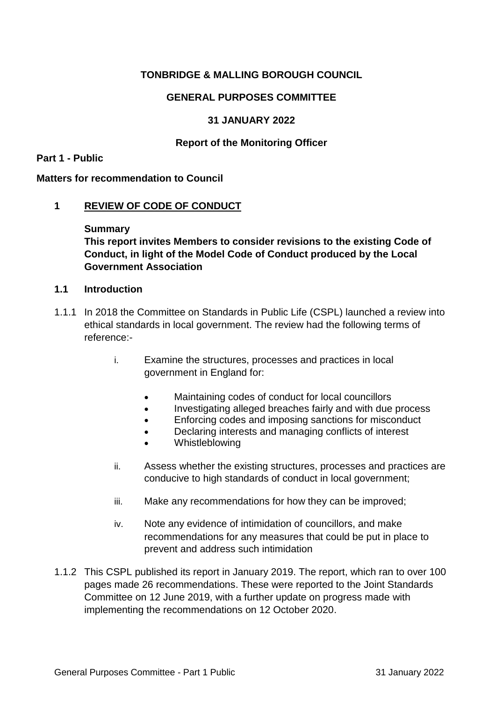# **TONBRIDGE & MALLING BOROUGH COUNCIL**

## **GENERAL PURPOSES COMMITTEE**

### **31 JANUARY 2022**

### **Report of the Monitoring Officer**

#### **Part 1 - Public**

#### **Matters for recommendation to Council**

### **1 REVIEW OF CODE OF CONDUCT**

#### **Summary**

**This report invites Members to consider revisions to the existing Code of Conduct, in light of the Model Code of Conduct produced by the Local Government Association**

### **1.1 Introduction**

- 1.1.1 In 2018 the Committee on Standards in Public Life (CSPL) launched a review into ethical standards in local government. The review had the following terms of reference:
	- i. Examine the structures, processes and practices in local government in England for:
		- Maintaining codes of conduct for local councillors
		- Investigating alleged breaches fairly and with due process
		- **Enforcing codes and imposing sanctions for misconduct**
		- Declaring interests and managing conflicts of interest
		- Whistleblowing
	- ii. Assess whether the existing structures, processes and practices are conducive to high standards of conduct in local government;
	- iii. Make any recommendations for how they can be improved;
	- iv. Note any evidence of intimidation of councillors, and make recommendations for any measures that could be put in place to prevent and address such intimidation
- 1.1.2 This CSPL published its report in January 2019. The report, which ran to over 100 pages made 26 recommendations. These were reported to the Joint Standards Committee on 12 June 2019, with a further update on progress made with implementing the recommendations on 12 October 2020.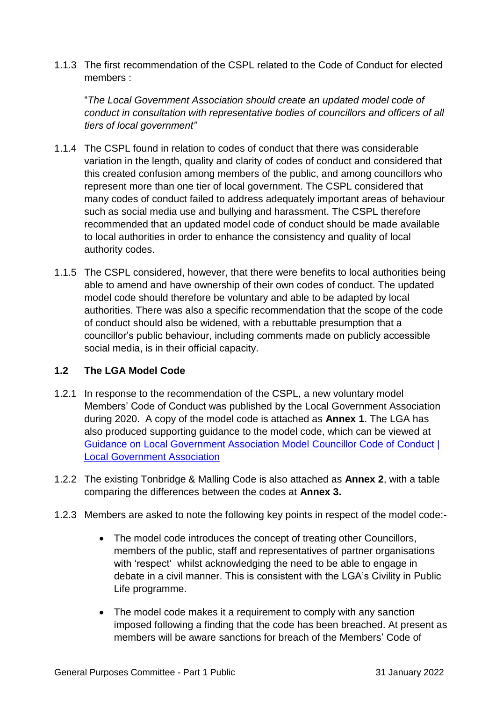1.1.3 The first recommendation of the CSPL related to the Code of Conduct for elected members :

"*The Local Government Association should create an updated model code of conduct in consultation with representative bodies of councillors and officers of all tiers of local government"*

- 1.1.4 The CSPL found in relation to codes of conduct that there was considerable variation in the length, quality and clarity of codes of conduct and considered that this created confusion among members of the public, and among councillors who represent more than one tier of local government. The CSPL considered that many codes of conduct failed to address adequately important areas of behaviour such as social media use and bullying and harassment. The CSPL therefore recommended that an updated model code of conduct should be made available to local authorities in order to enhance the consistency and quality of local authority codes.
- 1.1.5 The CSPL considered, however, that there were benefits to local authorities being able to amend and have ownership of their own codes of conduct. The updated model code should therefore be voluntary and able to be adapted by local authorities. There was also a specific recommendation that the scope of the code of conduct should also be widened, with a rebuttable presumption that a councillor's public behaviour, including comments made on publicly accessible social media, is in their official capacity.

# **1.2 The LGA Model Code**

- 1.2.1 In response to the recommendation of the CSPL, a new voluntary model Members' Code of Conduct was published by the Local Government Association during 2020. A copy of the model code is attached as **Annex 1**. The LGA has also produced supporting guidance to the model code, which can be viewed at [Guidance on Local Government Association Model](https://www.local.gov.uk/publications/guidance-local-government-association-model-councillor-code-conduct) Councillor Code of Conduct | [Local Government Association](https://www.local.gov.uk/publications/guidance-local-government-association-model-councillor-code-conduct)
- 1.2.2 The existing Tonbridge & Malling Code is also attached as **Annex 2**, with a table comparing the differences between the codes at **Annex 3.**
- 1.2.3 Members are asked to note the following key points in respect of the model code:-
	- The model code introduces the concept of treating other Councillors, members of the public, staff and representatives of partner organisations with 'respect' whilst acknowledging the need to be able to engage in debate in a civil manner. This is consistent with the LGA's Civility in Public Life programme.
	- The model code makes it a requirement to comply with any sanction imposed following a finding that the code has been breached. At present as members will be aware sanctions for breach of the Members' Code of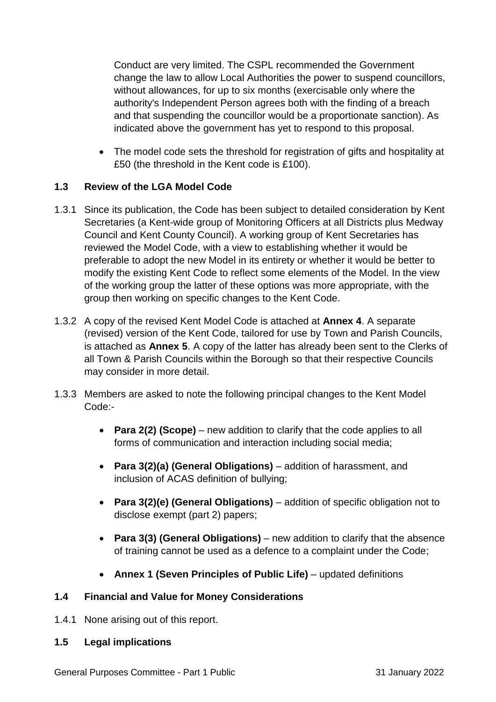Conduct are very limited. The CSPL recommended the Government change the law to allow Local Authorities the power to suspend councillors, without allowances, for up to six months (exercisable only where the authority's Independent Person agrees both with the finding of a breach and that suspending the councillor would be a proportionate sanction). As indicated above the government has yet to respond to this proposal.

 The model code sets the threshold for registration of gifts and hospitality at £50 (the threshold in the Kent code is £100).

# **1.3 Review of the LGA Model Code**

- 1.3.1 Since its publication, the Code has been subject to detailed consideration by Kent Secretaries (a Kent-wide group of Monitoring Officers at all Districts plus Medway Council and Kent County Council). A working group of Kent Secretaries has reviewed the Model Code, with a view to establishing whether it would be preferable to adopt the new Model in its entirety or whether it would be better to modify the existing Kent Code to reflect some elements of the Model. In the view of the working group the latter of these options was more appropriate, with the group then working on specific changes to the Kent Code.
- 1.3.2 A copy of the revised Kent Model Code is attached at **Annex 4**. A separate (revised) version of the Kent Code, tailored for use by Town and Parish Councils, is attached as **Annex 5**. A copy of the latter has already been sent to the Clerks of all Town & Parish Councils within the Borough so that their respective Councils may consider in more detail.
- 1.3.3 Members are asked to note the following principal changes to the Kent Model Code:-
	- **Para 2(2) (Scope)** new addition to clarify that the code applies to all forms of communication and interaction including social media;
	- **Para 3(2)(a) (General Obligations)** addition of harassment, and inclusion of ACAS definition of bullying;
	- **Para 3(2)(e) (General Obligations)** addition of specific obligation not to disclose exempt (part 2) papers;
	- **Para 3(3) (General Obligations)**  new addition to clarify that the absence of training cannot be used as a defence to a complaint under the Code;
	- **Annex 1 (Seven Principles of Public Life)** updated definitions

# **1.4 Financial and Value for Money Considerations**

- 1.4.1 None arising out of this report.
- **1.5 Legal implications**